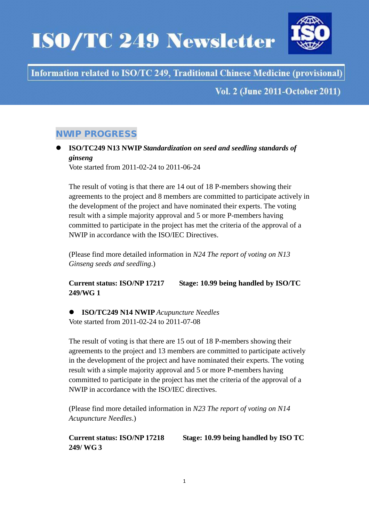# **ISO/TC 249 Newsletter**



# Information related to ISO/TC 249, Traditional Chinese Medicine (provisional)

**Vol. 2 (June 2011-October 2011)** 

# NWIP PROGRESS

## **ISO/TC249 N13 NWIP** *Standardization on seed and seedling standards of ginseng*

Vote started from 2011-02-24 to 2011-06-24

The result of voting is that there are 14 out of 18 P-members showing their agreements to the project and 8 members are committed to participate actively in the development of the project and have nominated their experts. The voting result with a simple majority approval and 5 or more P-members having committed to participate in the project has met the criteria of the approval of a NWIP in accordance with the ISO/IEC Directives.

(Please find more detailed information in *N24 The report of voting on N13 Ginseng seeds and seedling*.)

**Current status: ISO/NP 17217 Stage: 10.99 being handled by ISO/TC 249/WG 1**

## **ISO/TC249 N14 NWIP** *Acupuncture Needles* Vote started from 2011-02-24 to 2011-07-08

The result of voting is that there are 15 out of 18 P-members showing their agreements to the project and 13 members are committed to participate actively in the development of the project and have nominated their experts. The voting result with a simple majority approval and 5 or more P-members having committed to participate in the project has met the criteria of the approval of a NWIP in accordance with the ISO/IEC directives.

(Please find more detailed information in *N23 The report of voting on N14 Acupuncture Needles*.)

**Current status: ISO/NP 17218 Stage: 10.99 being handled by ISO TC 249/ WG 3**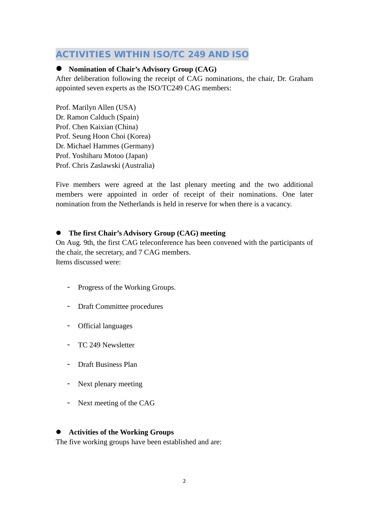## ACTIVITIES WITHIN ISO/TC 249 AND ISO

### **Nomination of Chair's Advisory Group (CAG)**

After deliberation following the receipt of CAG nominations, the chair, Dr. Graham appointed seven experts as the ISO/TC249 CAG members:

Prof. Marilyn Allen (USA) Dr. Ramon Calduch (Spain) Prof. Chen Kaixian (China) Prof. Seung Hoon Choi (Korea) Dr. Michael Hammes (Germany) Prof. Yoshiharu Motoo (Japan) Prof. Chris Zaslawski (Australia)

Five members were agreed at the last plenary meeting and the two additional members were appointed in order of receipt of their nominations. One later nomination from the Netherlands is held in reserve for when there is a vacancy.

#### **The first Chair's Advisory Group (CAG) meeting**

On Aug. 9th, the first CAG teleconference has been convened with the participants of the chair, the secretary, and 7 CAG members. Items discussed were:

- Progress of the Working Groups.
- Draft Committee procedures
- Official languages
- TC 249 Newsletter
- Draft Business Plan
- Next plenary meeting
- Next meeting of the CAG

#### **Activities of the Working Groups**

The five working groups have been established and are: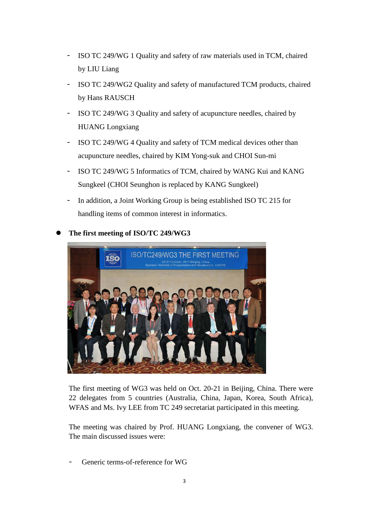- ISO TC 249/WG 1 Quality and safety of raw materials used in TCM, chaired by LIU Liang
- ISO TC 249/WG2 Quality and safety of manufactured TCM products, chaired by Hans RAUSCH
- ISO TC 249/WG 3 Quality and safety of acupuncture needles, chaired by HUANG Longxiang
- ISO TC 249/WG 4 Quality and safety of TCM medical devices other than acupuncture needles, chaired by KIM Yong-suk and CHOI Sun-mi
- ISO TC 249/WG 5 Informatics of TCM, chaired by WANG Kui and KANG Sungkeel (CHOI Seunghon is replaced by KANG Sungkeel)
- In addition, a Joint Working Group is being established ISO TC 215 for handling items of common interest in informatics.



**The first meeting of ISO/TC 249/WG3**

The first meeting of WG3 was held on Oct. 20-21 in Beijing, China. There were 22 delegates from 5 countries (Australia, China, Japan, Korea, South Africa), WFAS and Ms. Ivy LEE from TC 249 secretariat participated in this meeting.

The meeting was chaired by Prof. HUANG Longxiang, the convener of WG3. The main discussed issues were:

Generic terms-of-reference for WG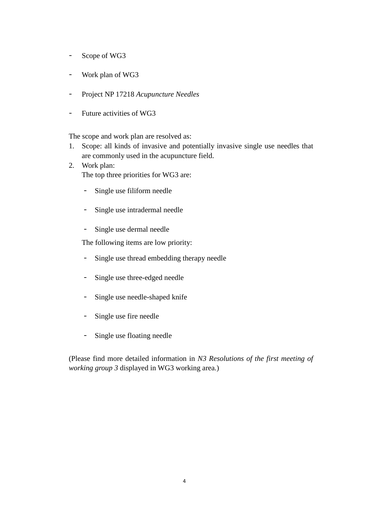- Scope of WG3
- Work plan of WG3
- Project NP 17218 *Acupuncture Needles*
- Future activities of WG3

The scope and work plan are resolved as:

- 1. Scope: all kinds of invasive and potentially invasive single use needles that are commonly used in the acupuncture field.
- 2. Work plan: The top three priorities for WG3 are:
	- Single use filiform needle
	- Single use intradermal needle
	- Single use dermal needle

The following items are low priority:

- Single use thread embedding therapy needle
- Single use three-edged needle
- Single use needle-shaped knife
- Single use fire needle
- Single use floating needle

(Please find more detailed information in *N3 Resolutions of the first meeting of working group 3* displayed in WG3 working area.)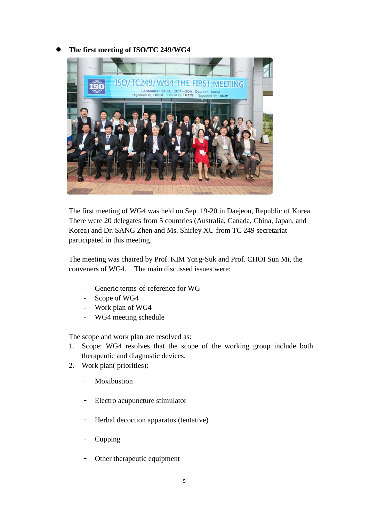## **The first meeting of ISO/TC 249/WG4**



The first meeting of WG4 was held on Sep. 19-20 in Daejeon, Republic of Korea. There were 20 delegates from 5 countries (Australia, Canada, China, Japan, and Korea) and Dr. SANG Zhen and Ms. Shirley XU from TC 249 secretariat participated in this meeting.

The meeting was chaired by Prof. KIM Yong-Suk and Prof. CHOI Sun Mi, the conveners of WG4. The main discussed issues were:

- Generic terms-of-reference for WG
- Scope of WG4
- Work plan of WG4
- WG4 meeting schedule

The scope and work plan are resolved as:

- 1. Scope: WG4 resolves that the scope of the working group include both therapeutic and diagnostic devices.
- 2. Work plan( priorities):
	- Moxibustion
	- Electro acupuncture stimulator
	- Herbal decoction apparatus (tentative)
	- **Cupping**
	- Other therapeutic equipment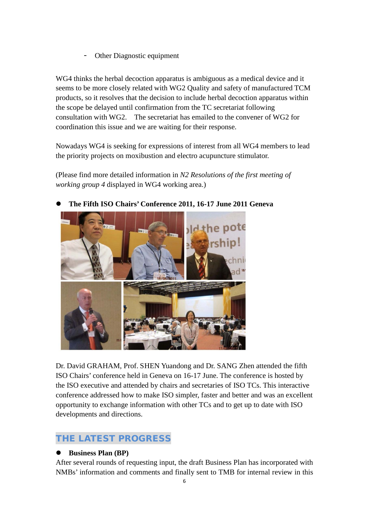Other Diagnostic equipment

WG4 thinks the herbal decoction apparatus is ambiguous as a medical device and it seems to be more closely related with WG2 Quality and safety of manufactured TCM products, so it resolves that the decision to include herbal decoction apparatus within the scope be delayed until confirmation from the TC secretariat following consultation with WG2. The secretariat has emailed to the convener of WG2 for coordination this issue and we are waiting for their response.

Nowadays WG4 is seeking for expressions of interest from all WG4 members to lead the priority projects on moxibustion and electro acupuncture stimulator.

(Please find more detailed information in *N2 Resolutions of the first meeting of working group 4* displayed in WG4 working area.)



## **The Fifth ISO Chairs' Conference 2011, 16-17 June 2011 Geneva**

Dr. David GRAHAM, Prof. SHEN Yuandong and Dr. SANG Zhen attended the fifth ISO Chairs' conference held in Geneva on 16-17 June. The conference is hosted by the ISO executive and attended by chairs and secretaries of ISO TCs. This interactive conference addressed how to make ISO simpler, faster and better and was an excellent opportunity to exchange information with other TCs and to get up to date with ISO developments and directions.

# THE LATEST PROGRESS

## **Business Plan (BP)**

After several rounds of requesting input, the draft Business Plan has incorporated with NMBs' information and comments and finally sent to TMB for internal review in this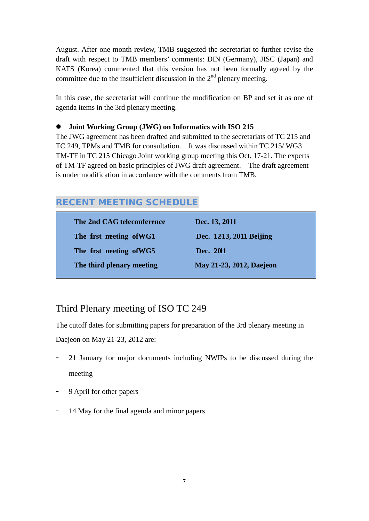August. After one month review, TMB suggested the secretariat to further revise the draft with respect to TMB members' comments: DIN (Germany), JISC (Japan) and KATS (Korea) commented that this version has not been formally agreed by the committee due to the insufficient discussion in the  $2<sup>nd</sup>$  plenary meeting.

In this case, the secretariat will continue the modification on BP and set it as one of agenda items in the 3rd plenary meeting.

#### **Joint Working Group (JWG) on Informatics with ISO 215**

The JWG agreement has been drafted and submitted to the secretariats of TC 215 and TC 249, TPMs and TMB for consultation. It was discussed within TC 215/ WG3 TM-TF in TC 215 Chicago Joint working group meeting this Oct. 17-21. The experts of TM-TF agreed on basic principles of JWG draft agreement. The draft agreement is under modification in accordance with the comments from TMB.

# RECENT MEETING SCHEDULE

| The 2nd CAG teleconference      | Dec. 13, 2011            |
|---------------------------------|--------------------------|
| The <b>first meeting of WG1</b> | Dec. 1213, 2011 Beijing  |
| The first meeting of WG5        | Dec. 2011                |
| The third plenary meeting       | May 21-23, 2012, Daejeon |

# Third Plenary meeting of ISO TC 249

The cutoff dates for submitting papers for preparation of the 3rd plenary meeting in Daejeon on May 21-23, 2012 are:

- 21 January for major documents including NWIPs to be discussed during the meeting
- 9 April for other papers
- 14 May for the final agenda and minor papers